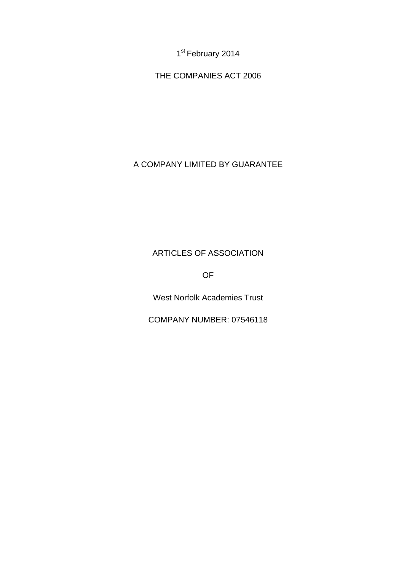1<sup>st</sup> February 2014

THE COMPANIES ACT 2006

# A COMPANY LIMITED BY GUARANTEE

# ARTICLES OF ASSOCIATION

OF

West Norfolk Academies Trust

COMPANY NUMBER: 07546118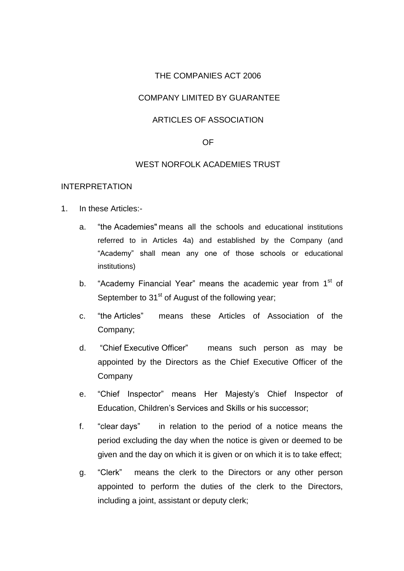### THE COMPANIES ACT 2006

### COMPANY LIMITED BY GUARANTEE

### ARTICLES OF ASSOCIATION

#### OF

#### WEST NORFOLK ACADEMIES TRUST

#### INTERPRETATION

- 1. In these Articles:
	- a. "the Academies" means all the schools and educational institutions referred to in Articles 4a) and established by the Company (and "Academy" shall mean any one of those schools or educational institutions)
	- b. "Academy Financial Year" means the academic year from 1<sup>st</sup> of September to  $31<sup>st</sup>$  of August of the following year;
	- c. "the Articles" means these Articles of Association of the Company;
	- d. "Chief Executive Officer" means such person as may be appointed by the Directors as the Chief Executive Officer of the Company
	- e. "Chief Inspector" means Her Majesty's Chief Inspector of Education, Children's Services and Skills or his successor;
	- f. "clear days" in relation to the period of a notice means the period excluding the day when the notice is given or deemed to be given and the day on which it is given or on which it is to take effect;
	- g. "Clerk" means the clerk to the Directors or any other person appointed to perform the duties of the clerk to the Directors, including a joint, assistant or deputy clerk;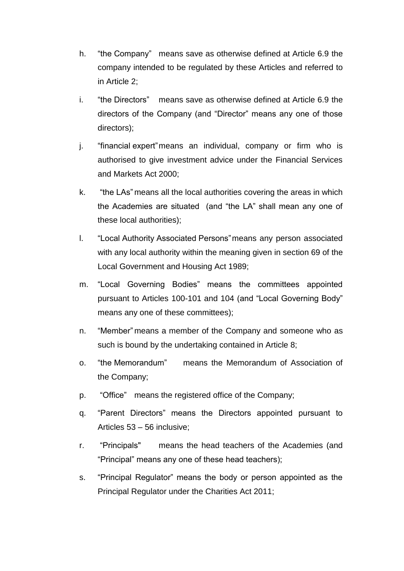- h. "the Company" means save as otherwise defined at Article 6.9 the company intended to be regulated by these Articles and referred to in Article 2;
- i. "the Directors" means save as otherwise defined at Article 6.9 the directors of the Company (and "Director" means any one of those directors);
- j. "financial expert"means an individual, company or firm who is authorised to give investment advice under the Financial Services and Markets Act 2000;
- k. "the LAs" means all the local authorities covering the areas in which the Academies are situated (and "the LA" shall mean any one of these local authorities);
- l. "Local Authority Associated Persons"means any person associated with any local authority within the meaning given in section 69 of the Local Government and Housing Act 1989;
- m. "Local Governing Bodies" means the committees appointed pursuant to Articles 100-101 and 104 (and "Local Governing Body" means any one of these committees);
- n. "Member" means a member of the Company and someone who as such is bound by the undertaking contained in Article 8;
- o. "the Memorandum" means the Memorandum of Association of the Company;
- p. "Office" means the registered office of the Company;
- q. "Parent Directors" means the Directors appointed pursuant to Articles 53 – 56 inclusive;
- r. "Principals" means the head teachers of the Academies (and "Principal" means any one of these head teachers);
- s. "Principal Regulator" means the body or person appointed as the Principal Regulator under the Charities Act 2011;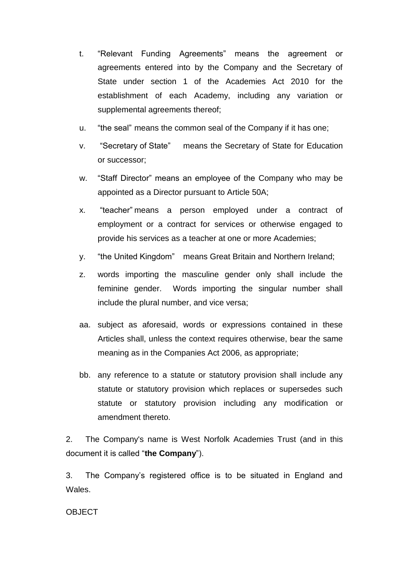- t. "Relevant Funding Agreements" means the agreement or agreements entered into by the Company and the Secretary of State under section 1 of the Academies Act 2010 for the establishment of each Academy, including any variation or supplemental agreements thereof;
- u. "the seal" means the common seal of the Company if it has one;
- v. "Secretary of State" means the Secretary of State for Education or successor;
- w. "Staff Director" means an employee of the Company who may be appointed as a Director pursuant to Article 50A;
- x. "teacher" means a person employed under a contract of employment or a contract for services or otherwise engaged to provide his services as a teacher at one or more Academies;
- y. "the United Kingdom" means Great Britain and Northern Ireland;
- z. words importing the masculine gender only shall include the feminine gender. Words importing the singular number shall include the plural number, and vice versa;
- aa. subject as aforesaid, words or expressions contained in these Articles shall, unless the context requires otherwise, bear the same meaning as in the Companies Act 2006, as appropriate;
- bb. any reference to a statute or statutory provision shall include any statute or statutory provision which replaces or supersedes such statute or statutory provision including any modification or amendment thereto.

2. The Company's name is West Norfolk Academies Trust (and in this document it is called "**the Company**").

3. The Company's registered office is to be situated in England and Wales.

**OBJECT**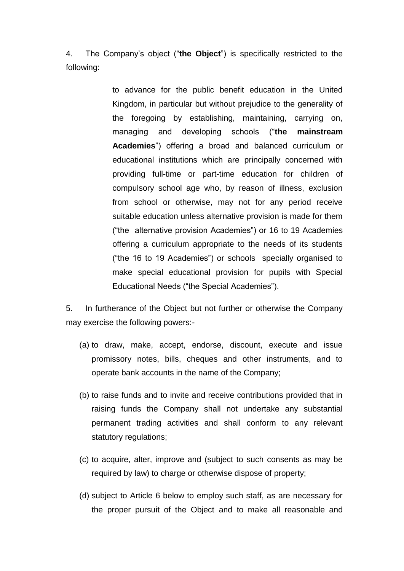4. The Company's object ("**the Object**") is specifically restricted to the following:

> to advance for the public benefit education in the United Kingdom, in particular but without prejudice to the generality of the foregoing by establishing, maintaining, carrying on, managing and developing schools ("**the mainstream Academies**") offering a broad and balanced curriculum or educational institutions which are principally concerned with providing full-time or part-time education for children of compulsory school age who, by reason of illness, exclusion from school or otherwise, may not for any period receive suitable education unless alternative provision is made for them ("the alternative provision Academies") or 16 to 19 Academies offering a curriculum appropriate to the needs of its students ("the 16 to 19 Academies") or schools specially organised to make special educational provision for pupils with Special Educational Needs ("the Special Academies").

5. In furtherance of the Object but not further or otherwise the Company may exercise the following powers:-

- (a) to draw, make, accept, endorse, discount, execute and issue promissory notes, bills, cheques and other instruments, and to operate bank accounts in the name of the Company;
- (b) to raise funds and to invite and receive contributions provided that in raising funds the Company shall not undertake any substantial permanent trading activities and shall conform to any relevant statutory regulations;
- (c) to acquire, alter, improve and (subject to such consents as may be required by law) to charge or otherwise dispose of property;
- (d) subject to Article 6 below to employ such staff, as are necessary for the proper pursuit of the Object and to make all reasonable and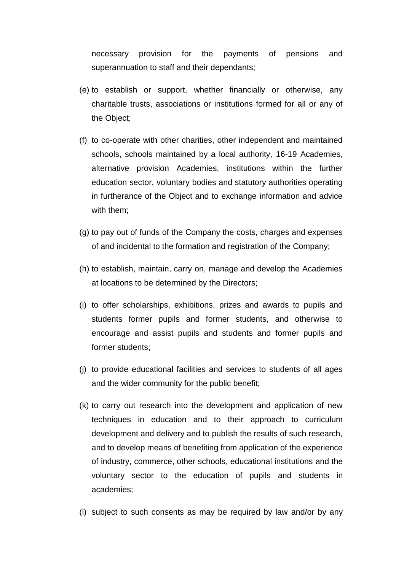necessary provision for the payments of pensions and superannuation to staff and their dependants;

- (e) to establish or support, whether financially or otherwise, any charitable trusts, associations or institutions formed for all or any of the Object;
- (f) to co-operate with other charities, other independent and maintained schools, schools maintained by a local authority, 16-19 Academies, alternative provision Academies, institutions within the further education sector, voluntary bodies and statutory authorities operating in furtherance of the Object and to exchange information and advice with them;
- (g) to pay out of funds of the Company the costs, charges and expenses of and incidental to the formation and registration of the Company;
- (h) to establish, maintain, carry on, manage and develop the Academies at locations to be determined by the Directors;
- (i) to offer scholarships, exhibitions, prizes and awards to pupils and students former pupils and former students, and otherwise to encourage and assist pupils and students and former pupils and former students;
- (j) to provide educational facilities and services to students of all ages and the wider community for the public benefit;
- (k) to carry out research into the development and application of new techniques in education and to their approach to curriculum development and delivery and to publish the results of such research, and to develop means of benefiting from application of the experience of industry, commerce, other schools, educational institutions and the voluntary sector to the education of pupils and students in academies;
- (l) subject to such consents as may be required by law and/or by any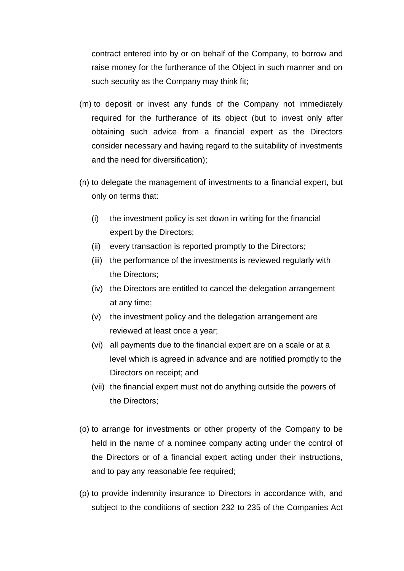contract entered into by or on behalf of the Company, to borrow and raise money for the furtherance of the Object in such manner and on such security as the Company may think fit;

- (m) to deposit or invest any funds of the Company not immediately required for the furtherance of its object (but to invest only after obtaining such advice from a financial expert as the Directors consider necessary and having regard to the suitability of investments and the need for diversification);
- (n) to delegate the management of investments to a financial expert, but only on terms that:
	- (i) the investment policy is set down in writing for the financial expert by the Directors;
	- (ii) every transaction is reported promptly to the Directors;
	- (iii) the performance of the investments is reviewed regularly with the Directors;
	- (iv) the Directors are entitled to cancel the delegation arrangement at any time;
	- (v) the investment policy and the delegation arrangement are reviewed at least once a year;
	- (vi) all payments due to the financial expert are on a scale or at a level which is agreed in advance and are notified promptly to the Directors on receipt; and
	- (vii) the financial expert must not do anything outside the powers of the Directors;
- (o) to arrange for investments or other property of the Company to be held in the name of a nominee company acting under the control of the Directors or of a financial expert acting under their instructions, and to pay any reasonable fee required;
- (p) to provide indemnity insurance to Directors in accordance with, and subject to the conditions of section 232 to 235 of the Companies Act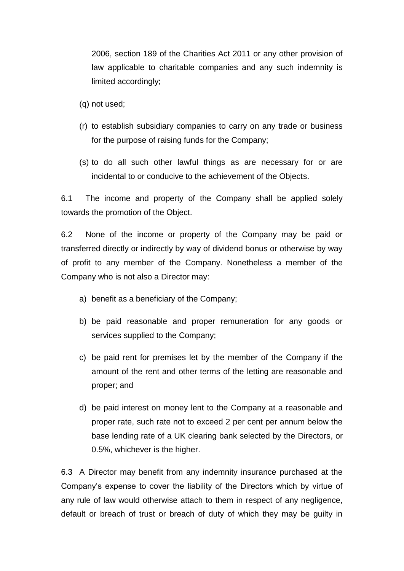2006, section 189 of the Charities Act 2011 or any other provision of law applicable to charitable companies and any such indemnity is limited accordingly;

- (q) not used;
- (r) to establish subsidiary companies to carry on any trade or business for the purpose of raising funds for the Company;
- (s) to do all such other lawful things as are necessary for or are incidental to or conducive to the achievement of the Objects.

6.1 The income and property of the Company shall be applied solely towards the promotion of the Object.

6.2 None of the income or property of the Company may be paid or transferred directly or indirectly by way of dividend bonus or otherwise by way of profit to any member of the Company. Nonetheless a member of the Company who is not also a Director may:

- a) benefit as a beneficiary of the Company;
- b) be paid reasonable and proper remuneration for any goods or services supplied to the Company;
- c) be paid rent for premises let by the member of the Company if the amount of the rent and other terms of the letting are reasonable and proper; and
- d) be paid interest on money lent to the Company at a reasonable and proper rate, such rate not to exceed 2 per cent per annum below the base lending rate of a UK clearing bank selected by the Directors, or 0.5%, whichever is the higher.

6.3 A Director may benefit from any indemnity insurance purchased at the Company's expense to cover the liability of the Directors which by virtue of any rule of law would otherwise attach to them in respect of any negligence, default or breach of trust or breach of duty of which they may be guilty in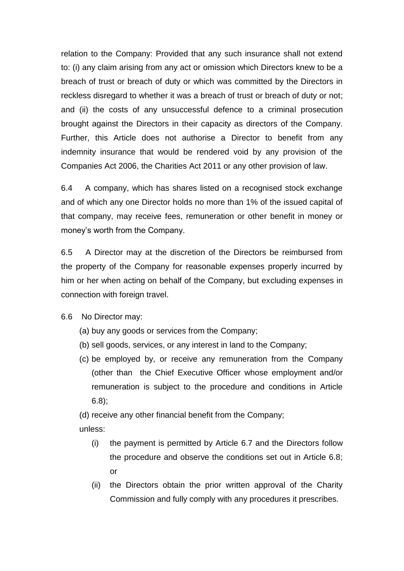relation to the Company: Provided that any such insurance shall not extend to: (i) any claim arising from any act or omission which Directors knew to be a breach of trust or breach of duty or which was committed by the Directors in reckless disregard to whether it was a breach of trust or breach of duty or not; and (ii) the costs of any unsuccessful defence to a criminal prosecution brought against the Directors in their capacity as directors of the Company. Further, this Article does not authorise a Director to benefit from any indemnity insurance that would be rendered void by any provision of the Companies Act 2006, the Charities Act 2011 or any other provision of law.

6.4 A company, which has shares listed on a recognised stock exchange and of which any one Director holds no more than 1% of the issued capital of that company, may receive fees, remuneration or other benefit in money or money's worth from the Company.

6.5 A Director may at the discretion of the Directors be reimbursed from the property of the Company for reasonable expenses properly incurred by him or her when acting on behalf of the Company, but excluding expenses in connection with foreign travel.

6.6 No Director may:

- (a) buy any goods or services from the Company;
- (b) sell goods, services, or any interest in land to the Company;
- (c) be employed by, or receive any remuneration from the Company (other than the Chief Executive Officer whose employment and/or remuneration is subject to the procedure and conditions in Article 6.8);

(d) receive any other financial benefit from the Company;

unless:

- (i) the payment is permitted by Article 6.7 and the Directors follow the procedure and observe the conditions set out in Article 6.8; or
- (ii) the Directors obtain the prior written approval of the Charity Commission and fully comply with any procedures it prescribes.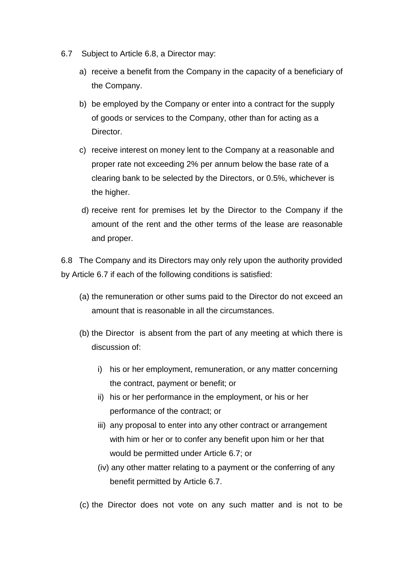- 6.7 Subject to Article 6.8, a Director may:
	- a) receive a benefit from the Company in the capacity of a beneficiary of the Company.
	- b) be employed by the Company or enter into a contract for the supply of goods or services to the Company, other than for acting as a Director.
	- c) receive interest on money lent to the Company at a reasonable and proper rate not exceeding 2% per annum below the base rate of a clearing bank to be selected by the Directors, or 0.5%, whichever is the higher.
	- d) receive rent for premises let by the Director to the Company if the amount of the rent and the other terms of the lease are reasonable and proper.

6.8 The Company and its Directors may only rely upon the authority provided by Article 6.7 if each of the following conditions is satisfied:

- (a) the remuneration or other sums paid to the Director do not exceed an amount that is reasonable in all the circumstances.
- (b) the Director is absent from the part of any meeting at which there is discussion of:
	- i) his or her employment, remuneration, or any matter concerning the contract, payment or benefit; or
	- ii) his or her performance in the employment, or his or her performance of the contract; or
	- iii) any proposal to enter into any other contract or arrangement with him or her or to confer any benefit upon him or her that would be permitted under Article 6.7; or
	- (iv) any other matter relating to a payment or the conferring of any benefit permitted by Article 6.7.

(c) the Director does not vote on any such matter and is not to be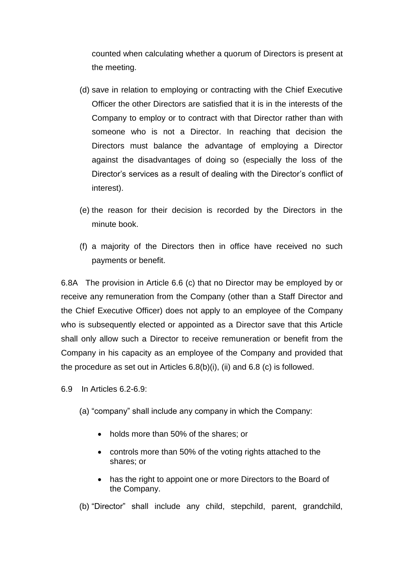counted when calculating whether a quorum of Directors is present at the meeting.

- (d) save in relation to employing or contracting with the Chief Executive Officer the other Directors are satisfied that it is in the interests of the Company to employ or to contract with that Director rather than with someone who is not a Director. In reaching that decision the Directors must balance the advantage of employing a Director against the disadvantages of doing so (especially the loss of the Director's services as a result of dealing with the Director's conflict of interest).
- (e) the reason for their decision is recorded by the Directors in the minute book.
- (f) a majority of the Directors then in office have received no such payments or benefit.

6.8A The provision in Article 6.6 (c) that no Director may be employed by or receive any remuneration from the Company (other than a Staff Director and the Chief Executive Officer) does not apply to an employee of the Company who is subsequently elected or appointed as a Director save that this Article shall only allow such a Director to receive remuneration or benefit from the Company in his capacity as an employee of the Company and provided that the procedure as set out in Articles 6.8(b)(i), (ii) and 6.8 (c) is followed.

- 6.9 In Articles 6.2-6.9:
	- (a) "company" shall include any company in which the Company:
		- holds more than 50% of the shares; or
		- controls more than 50% of the voting rights attached to the shares; or
		- has the right to appoint one or more Directors to the Board of the Company.

(b) "Director" shall include any child, stepchild, parent, grandchild,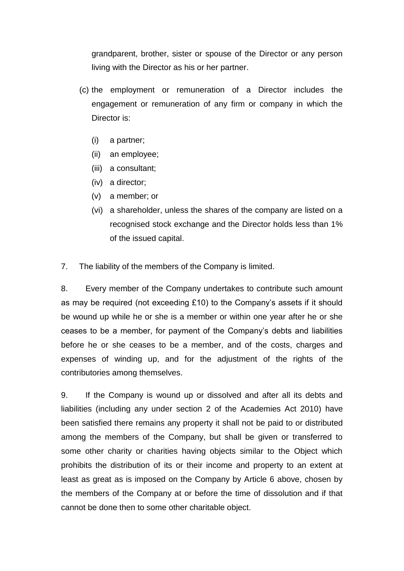grandparent, brother, sister or spouse of the Director or any person living with the Director as his or her partner.

- (c) the employment or remuneration of a Director includes the engagement or remuneration of any firm or company in which the Director is:
	- (i) a partner;
	- (ii) an employee;
	- (iii) a consultant;
	- (iv) a director;
	- (v) a member; or
	- (vi) a shareholder, unless the shares of the company are listed on a recognised stock exchange and the Director holds less than 1% of the issued capital.
- 7. The liability of the members of the Company is limited.

8. Every member of the Company undertakes to contribute such amount as may be required (not exceeding £10) to the Company's assets if it should be wound up while he or she is a member or within one year after he or she ceases to be a member, for payment of the Company's debts and liabilities before he or she ceases to be a member, and of the costs, charges and expenses of winding up, and for the adjustment of the rights of the contributories among themselves.

9. If the Company is wound up or dissolved and after all its debts and liabilities (including any under section 2 of the Academies Act 2010) have been satisfied there remains any property it shall not be paid to or distributed among the members of the Company, but shall be given or transferred to some other charity or charities having objects similar to the Object which prohibits the distribution of its or their income and property to an extent at least as great as is imposed on the Company by Article 6 above, chosen by the members of the Company at or before the time of dissolution and if that cannot be done then to some other charitable object.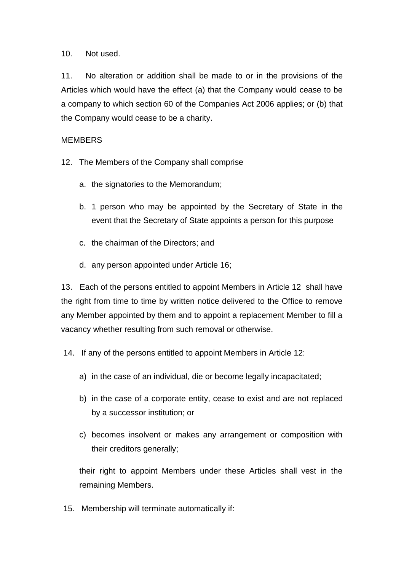10. Not used.

11. No alteration or addition shall be made to or in the provisions of the Articles which would have the effect (a) that the Company would cease to be a company to which section 60 of the Companies Act 2006 applies; or (b) that the Company would cease to be a charity.

### MEMBERS

- 12. The Members of the Company shall comprise
	- a. the signatories to the Memorandum;
	- b. 1 person who may be appointed by the Secretary of State in the event that the Secretary of State appoints a person for this purpose
	- c. the chairman of the Directors; and
	- d. any person appointed under Article 16;

13. Each of the persons entitled to appoint Members in Article 12 shall have the right from time to time by written notice delivered to the Office to remove any Member appointed by them and to appoint a replacement Member to fill a vacancy whether resulting from such removal or otherwise.

- 14. If any of the persons entitled to appoint Members in Article 12:
	- a) in the case of an individual, die or become legally incapacitated;
	- b) in the case of a corporate entity, cease to exist and are not replaced by a successor institution; or
	- c) becomes insolvent or makes any arrangement or composition with their creditors generally;

their right to appoint Members under these Articles shall vest in the remaining Members.

15. Membership will terminate automatically if: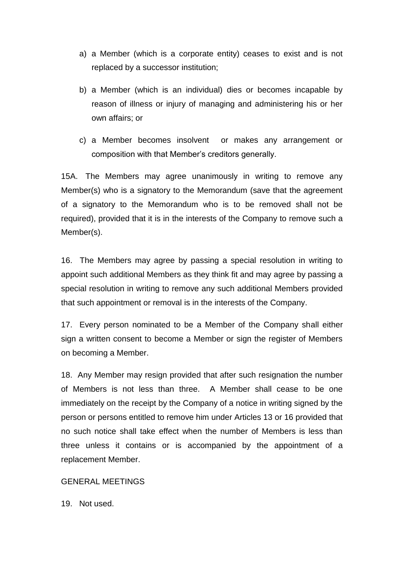- a) a Member (which is a corporate entity) ceases to exist and is not replaced by a successor institution;
- b) a Member (which is an individual) dies or becomes incapable by reason of illness or injury of managing and administering his or her own affairs; or
- c) a Member becomes insolvent or makes any arrangement or composition with that Member's creditors generally.

15A. The Members may agree unanimously in writing to remove any Member(s) who is a signatory to the Memorandum (save that the agreement of a signatory to the Memorandum who is to be removed shall not be required), provided that it is in the interests of the Company to remove such a Member(s).

16. The Members may agree by passing a special resolution in writing to appoint such additional Members as they think fit and may agree by passing a special resolution in writing to remove any such additional Members provided that such appointment or removal is in the interests of the Company.

17. Every person nominated to be a Member of the Company shall either sign a written consent to become a Member or sign the register of Members on becoming a Member.

18. Any Member may resign provided that after such resignation the number of Members is not less than three. A Member shall cease to be one immediately on the receipt by the Company of a notice in writing signed by the person or persons entitled to remove him under Articles 13 or 16 provided that no such notice shall take effect when the number of Members is less than three unless it contains or is accompanied by the appointment of a replacement Member.

### GENERAL MEETINGS

19. Not used.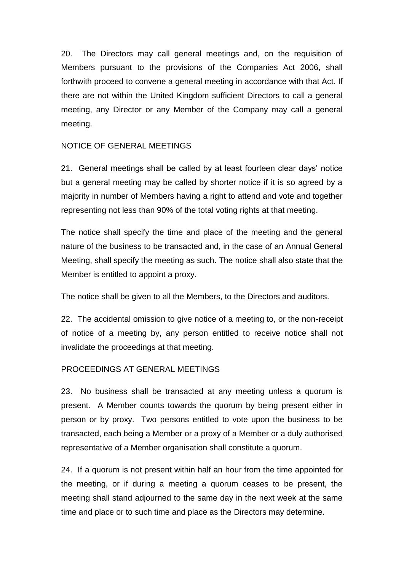20. The Directors may call general meetings and, on the requisition of Members pursuant to the provisions of the Companies Act 2006, shall forthwith proceed to convene a general meeting in accordance with that Act. If there are not within the United Kingdom sufficient Directors to call a general meeting, any Director or any Member of the Company may call a general meeting.

### NOTICE OF GENERAL MEETINGS

21. General meetings shall be called by at least fourteen clear days' notice but a general meeting may be called by shorter notice if it is so agreed by a majority in number of Members having a right to attend and vote and together representing not less than 90% of the total voting rights at that meeting.

The notice shall specify the time and place of the meeting and the general nature of the business to be transacted and, in the case of an Annual General Meeting, shall specify the meeting as such. The notice shall also state that the Member is entitled to appoint a proxy.

The notice shall be given to all the Members, to the Directors and auditors.

22. The accidental omission to give notice of a meeting to, or the non-receipt of notice of a meeting by, any person entitled to receive notice shall not invalidate the proceedings at that meeting.

## PROCEEDINGS AT GENERAL MEETINGS

23. No business shall be transacted at any meeting unless a quorum is present. A Member counts towards the quorum by being present either in person or by proxy. Two persons entitled to vote upon the business to be transacted, each being a Member or a proxy of a Member or a duly authorised representative of a Member organisation shall constitute a quorum.

24. If a quorum is not present within half an hour from the time appointed for the meeting, or if during a meeting a quorum ceases to be present, the meeting shall stand adjourned to the same day in the next week at the same time and place or to such time and place as the Directors may determine.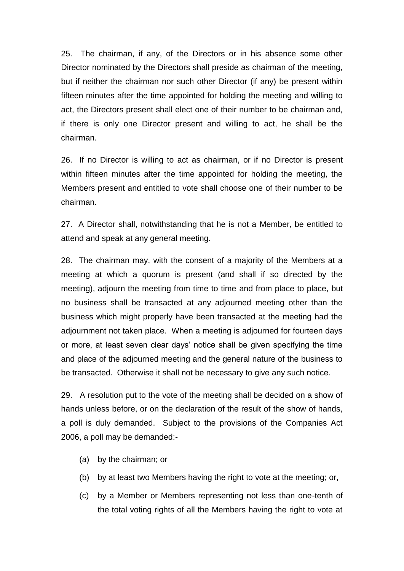25. The chairman, if any, of the Directors or in his absence some other Director nominated by the Directors shall preside as chairman of the meeting, but if neither the chairman nor such other Director (if any) be present within fifteen minutes after the time appointed for holding the meeting and willing to act, the Directors present shall elect one of their number to be chairman and, if there is only one Director present and willing to act, he shall be the chairman.

26. If no Director is willing to act as chairman, or if no Director is present within fifteen minutes after the time appointed for holding the meeting, the Members present and entitled to vote shall choose one of their number to be chairman.

27. A Director shall, notwithstanding that he is not a Member, be entitled to attend and speak at any general meeting.

28. The chairman may, with the consent of a majority of the Members at a meeting at which a quorum is present (and shall if so directed by the meeting), adjourn the meeting from time to time and from place to place, but no business shall be transacted at any adjourned meeting other than the business which might properly have been transacted at the meeting had the adjournment not taken place. When a meeting is adjourned for fourteen days or more, at least seven clear days' notice shall be given specifying the time and place of the adjourned meeting and the general nature of the business to be transacted. Otherwise it shall not be necessary to give any such notice.

29. A resolution put to the vote of the meeting shall be decided on a show of hands unless before, or on the declaration of the result of the show of hands, a poll is duly demanded. Subject to the provisions of the Companies Act 2006, a poll may be demanded:-

- (a) by the chairman; or
- (b) by at least two Members having the right to vote at the meeting; or,
- (c) by a Member or Members representing not less than one-tenth of the total voting rights of all the Members having the right to vote at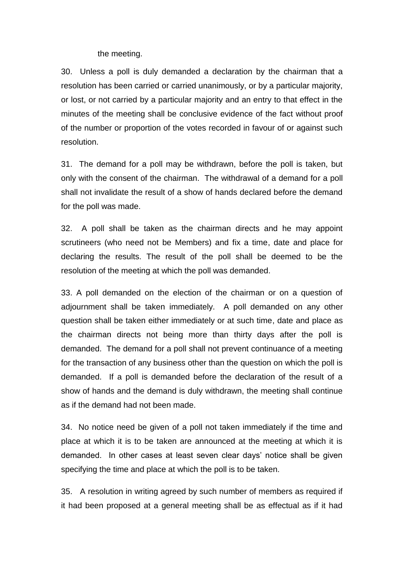the meeting.

30. Unless a poll is duly demanded a declaration by the chairman that a resolution has been carried or carried unanimously, or by a particular majority, or lost, or not carried by a particular majority and an entry to that effect in the minutes of the meeting shall be conclusive evidence of the fact without proof of the number or proportion of the votes recorded in favour of or against such resolution.

31. The demand for a poll may be withdrawn, before the poll is taken, but only with the consent of the chairman. The withdrawal of a demand for a poll shall not invalidate the result of a show of hands declared before the demand for the poll was made.

32. A poll shall be taken as the chairman directs and he may appoint scrutineers (who need not be Members) and fix a time, date and place for declaring the results. The result of the poll shall be deemed to be the resolution of the meeting at which the poll was demanded.

33. A poll demanded on the election of the chairman or on a question of adjournment shall be taken immediately. A poll demanded on any other question shall be taken either immediately or at such time, date and place as the chairman directs not being more than thirty days after the poll is demanded. The demand for a poll shall not prevent continuance of a meeting for the transaction of any business other than the question on which the poll is demanded. If a poll is demanded before the declaration of the result of a show of hands and the demand is duly withdrawn, the meeting shall continue as if the demand had not been made.

34. No notice need be given of a poll not taken immediately if the time and place at which it is to be taken are announced at the meeting at which it is demanded. In other cases at least seven clear days' notice shall be given specifying the time and place at which the poll is to be taken.

35. A resolution in writing agreed by such number of members as required if it had been proposed at a general meeting shall be as effectual as if it had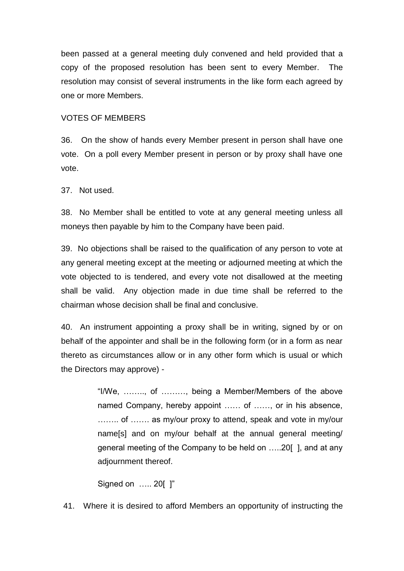been passed at a general meeting duly convened and held provided that a copy of the proposed resolution has been sent to every Member. The resolution may consist of several instruments in the like form each agreed by one or more Members.

#### VOTES OF MEMBERS

36. On the show of hands every Member present in person shall have one vote. On a poll every Member present in person or by proxy shall have one vote.

37. Not used.

38. No Member shall be entitled to vote at any general meeting unless all moneys then payable by him to the Company have been paid.

39. No objections shall be raised to the qualification of any person to vote at any general meeting except at the meeting or adjourned meeting at which the vote objected to is tendered, and every vote not disallowed at the meeting shall be valid. Any objection made in due time shall be referred to the chairman whose decision shall be final and conclusive.

40. An instrument appointing a proxy shall be in writing, signed by or on behalf of the appointer and shall be in the following form (or in a form as near thereto as circumstances allow or in any other form which is usual or which the Directors may approve) -

> "I/We, …….., of ………, being a Member/Members of the above named Company, hereby appoint …… of ……, or in his absence, …….. of ……. as my/our proxy to attend, speak and vote in my/our name[s] and on my/our behalf at the annual general meeting/ general meeting of the Company to be held on …..20[ ], and at any adjournment thereof.

Signed on ….. 20[ ]"

41. Where it is desired to afford Members an opportunity of instructing the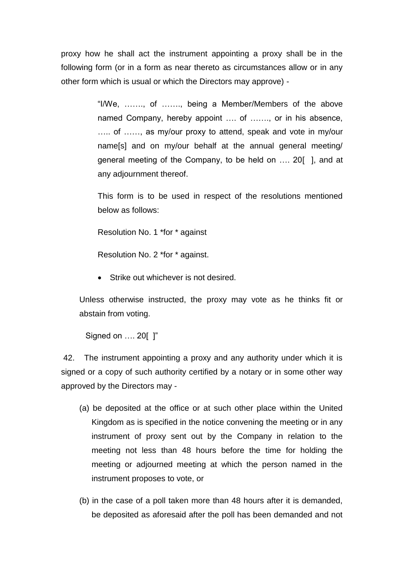proxy how he shall act the instrument appointing a proxy shall be in the following form (or in a form as near thereto as circumstances allow or in any other form which is usual or which the Directors may approve) -

> "I/We, ……., of ……., being a Member/Members of the above named Company, hereby appoint .... of ......., or in his absence, ….. of ……, as my/our proxy to attend, speak and vote in my/our name[s] and on my/our behalf at the annual general meeting/ general meeting of the Company, to be held on …. 20[ ], and at any adjournment thereof.

> This form is to be used in respect of the resolutions mentioned below as follows:

Resolution No. 1 \*for \* against

Resolution No. 2 \*for \* against.

• Strike out whichever is not desired.

Unless otherwise instructed, the proxy may vote as he thinks fit or abstain from voting.

Signed on …. 20[ ]"

42. The instrument appointing a proxy and any authority under which it is signed or a copy of such authority certified by a notary or in some other way approved by the Directors may -

- (a) be deposited at the office or at such other place within the United Kingdom as is specified in the notice convening the meeting or in any instrument of proxy sent out by the Company in relation to the meeting not less than 48 hours before the time for holding the meeting or adjourned meeting at which the person named in the instrument proposes to vote, or
- (b) in the case of a poll taken more than 48 hours after it is demanded, be deposited as aforesaid after the poll has been demanded and not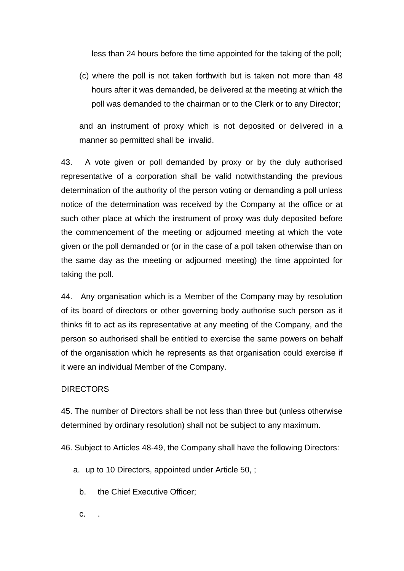less than 24 hours before the time appointed for the taking of the poll;

(c) where the poll is not taken forthwith but is taken not more than 48 hours after it was demanded, be delivered at the meeting at which the poll was demanded to the chairman or to the Clerk or to any Director;

and an instrument of proxy which is not deposited or delivered in a manner so permitted shall be invalid.

43. A vote given or poll demanded by proxy or by the duly authorised representative of a corporation shall be valid notwithstanding the previous determination of the authority of the person voting or demanding a poll unless notice of the determination was received by the Company at the office or at such other place at which the instrument of proxy was duly deposited before the commencement of the meeting or adjourned meeting at which the vote given or the poll demanded or (or in the case of a poll taken otherwise than on the same day as the meeting or adjourned meeting) the time appointed for taking the poll.

44. Any organisation which is a Member of the Company may by resolution of its board of directors or other governing body authorise such person as it thinks fit to act as its representative at any meeting of the Company, and the person so authorised shall be entitled to exercise the same powers on behalf of the organisation which he represents as that organisation could exercise if it were an individual Member of the Company.

### **DIRECTORS**

45. The number of Directors shall be not less than three but (unless otherwise determined by ordinary resolution) shall not be subject to any maximum.

46. Subject to Articles 48-49, the Company shall have the following Directors:

a. up to 10 Directors, appointed under Article 50, ;

b. the Chief Executive Officer;

c. .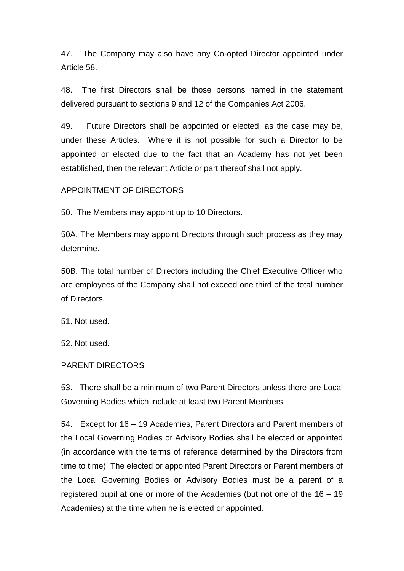47. The Company may also have any Co-opted Director appointed under Article 58.

48. The first Directors shall be those persons named in the statement delivered pursuant to sections 9 and 12 of the Companies Act 2006.

49. Future Directors shall be appointed or elected, as the case may be, under these Articles. Where it is not possible for such a Director to be appointed or elected due to the fact that an Academy has not yet been established, then the relevant Article or part thereof shall not apply.

### APPOINTMENT OF DIRECTORS

50. The Members may appoint up to 10 Directors.

50A. The Members may appoint Directors through such process as they may determine.

50B. The total number of Directors including the Chief Executive Officer who are employees of the Company shall not exceed one third of the total number of Directors.

51. Not used.

52. Not used.

#### PARENT DIRECTORS

53. There shall be a minimum of two Parent Directors unless there are Local Governing Bodies which include at least two Parent Members.

54. Except for 16 – 19 Academies, Parent Directors and Parent members of the Local Governing Bodies or Advisory Bodies shall be elected or appointed (in accordance with the terms of reference determined by the Directors from time to time). The elected or appointed Parent Directors or Parent members of the Local Governing Bodies or Advisory Bodies must be a parent of a registered pupil at one or more of the Academies (but not one of the 16 – 19 Academies) at the time when he is elected or appointed.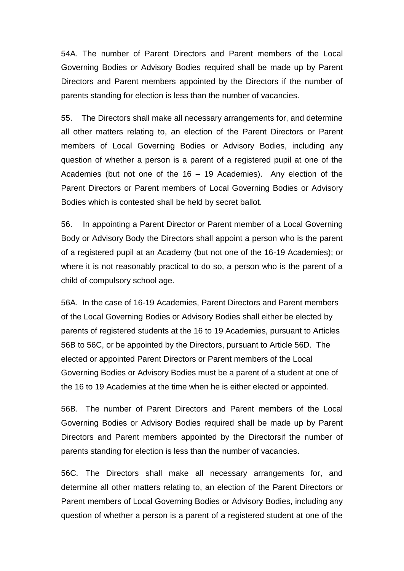54A. The number of Parent Directors and Parent members of the Local Governing Bodies or Advisory Bodies required shall be made up by Parent Directors and Parent members appointed by the Directors if the number of parents standing for election is less than the number of vacancies.

55. The Directors shall make all necessary arrangements for, and determine all other matters relating to, an election of the Parent Directors or Parent members of Local Governing Bodies or Advisory Bodies, including any question of whether a person is a parent of a registered pupil at one of the Academies (but not one of the 16 – 19 Academies). Any election of the Parent Directors or Parent members of Local Governing Bodies or Advisory Bodies which is contested shall be held by secret ballot.

56. In appointing a Parent Director or Parent member of a Local Governing Body or Advisory Body the Directors shall appoint a person who is the parent of a registered pupil at an Academy (but not one of the 16-19 Academies); or where it is not reasonably practical to do so, a person who is the parent of a child of compulsory school age.

56A. In the case of 16-19 Academies, Parent Directors and Parent members of the Local Governing Bodies or Advisory Bodies shall either be elected by parents of registered students at the 16 to 19 Academies, pursuant to Articles 56B to 56C, or be appointed by the Directors, pursuant to Article 56D. The elected or appointed Parent Directors or Parent members of the Local Governing Bodies or Advisory Bodies must be a parent of a student at one of the 16 to 19 Academies at the time when he is either elected or appointed.

56B. The number of Parent Directors and Parent members of the Local Governing Bodies or Advisory Bodies required shall be made up by Parent Directors and Parent members appointed by the Directorsif the number of parents standing for election is less than the number of vacancies.

56C. The Directors shall make all necessary arrangements for, and determine all other matters relating to, an election of the Parent Directors or Parent members of Local Governing Bodies or Advisory Bodies, including any question of whether a person is a parent of a registered student at one of the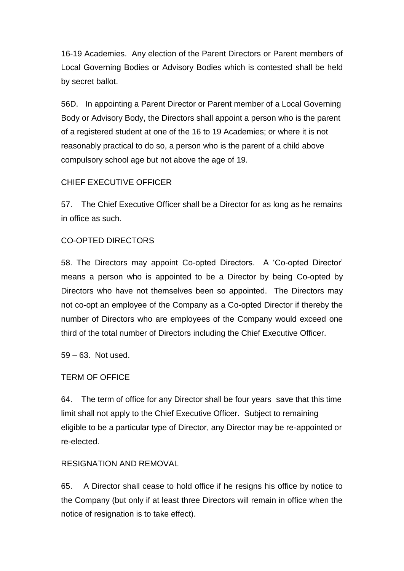16-19 Academies. Any election of the Parent Directors or Parent members of Local Governing Bodies or Advisory Bodies which is contested shall be held by secret ballot.

56D. In appointing a Parent Director or Parent member of a Local Governing Body or Advisory Body, the Directors shall appoint a person who is the parent of a registered student at one of the 16 to 19 Academies; or where it is not reasonably practical to do so, a person who is the parent of a child above compulsory school age but not above the age of 19.

## CHIEF EXECUTIVE OFFICER

57. The Chief Executive Officer shall be a Director for as long as he remains in office as such.

## CO-OPTED DIRECTORS

58. The Directors may appoint Co-opted Directors. A 'Co-opted Director' means a person who is appointed to be a Director by being Co-opted by Directors who have not themselves been so appointed. The Directors may not co-opt an employee of the Company as a Co-opted Director if thereby the number of Directors who are employees of the Company would exceed one third of the total number of Directors including the Chief Executive Officer.

59 – 63. Not used.

## TERM OF OFFICE

64. The term of office for any Director shall be four years save that this time limit shall not apply to the Chief Executive Officer. Subject to remaining eligible to be a particular type of Director, any Director may be re-appointed or re-elected.

## RESIGNATION AND REMOVAL

65. A Director shall cease to hold office if he resigns his office by notice to the Company (but only if at least three Directors will remain in office when the notice of resignation is to take effect).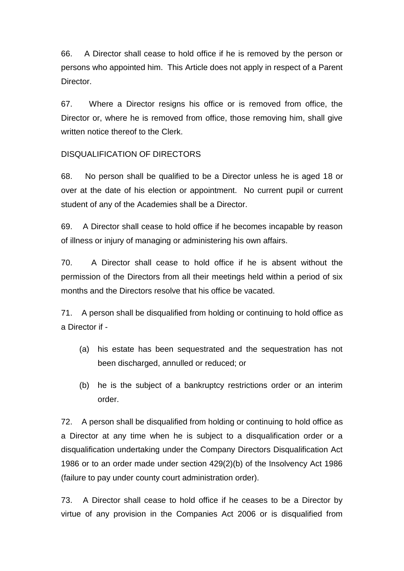66. A Director shall cease to hold office if he is removed by the person or persons who appointed him. This Article does not apply in respect of a Parent Director.

67. Where a Director resigns his office or is removed from office, the Director or, where he is removed from office, those removing him, shall give written notice thereof to the Clerk.

### DISQUALIFICATION OF DIRECTORS

68. No person shall be qualified to be a Director unless he is aged 18 or over at the date of his election or appointment. No current pupil or current student of any of the Academies shall be a Director.

69. A Director shall cease to hold office if he becomes incapable by reason of illness or injury of managing or administering his own affairs.

70. A Director shall cease to hold office if he is absent without the permission of the Directors from all their meetings held within a period of six months and the Directors resolve that his office be vacated.

71. A person shall be disqualified from holding or continuing to hold office as a Director if -

- (a) his estate has been sequestrated and the sequestration has not been discharged, annulled or reduced; or
- (b) he is the subject of a bankruptcy restrictions order or an interim order.

72. A person shall be disqualified from holding or continuing to hold office as a Director at any time when he is subject to a disqualification order or a disqualification undertaking under the Company Directors Disqualification Act 1986 or to an order made under section 429(2)(b) of the Insolvency Act 1986 (failure to pay under county court administration order).

73. A Director shall cease to hold office if he ceases to be a Director by virtue of any provision in the Companies Act 2006 or is disqualified from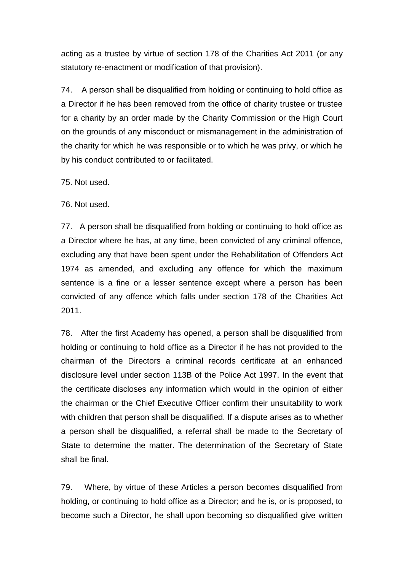acting as a trustee by virtue of section 178 of the Charities Act 2011 (or any statutory re-enactment or modification of that provision).

74. A person shall be disqualified from holding or continuing to hold office as a Director if he has been removed from the office of charity trustee or trustee for a charity by an order made by the Charity Commission or the High Court on the grounds of any misconduct or mismanagement in the administration of the charity for which he was responsible or to which he was privy, or which he by his conduct contributed to or facilitated.

75. Not used.

76. Not used.

77. A person shall be disqualified from holding or continuing to hold office as a Director where he has, at any time, been convicted of any criminal offence, excluding any that have been spent under the Rehabilitation of Offenders Act 1974 as amended, and excluding any offence for which the maximum sentence is a fine or a lesser sentence except where a person has been convicted of any offence which falls under section 178 of the Charities Act 2011.

78. After the first Academy has opened, a person shall be disqualified from holding or continuing to hold office as a Director if he has not provided to the chairman of the Directors a criminal records certificate at an enhanced disclosure level under section 113B of the Police Act 1997. In the event that the certificate discloses any information which would in the opinion of either the chairman or the Chief Executive Officer confirm their unsuitability to work with children that person shall be disqualified. If a dispute arises as to whether a person shall be disqualified, a referral shall be made to the Secretary of State to determine the matter. The determination of the Secretary of State shall be final.

79. Where, by virtue of these Articles a person becomes disqualified from holding, or continuing to hold office as a Director; and he is, or is proposed, to become such a Director, he shall upon becoming so disqualified give written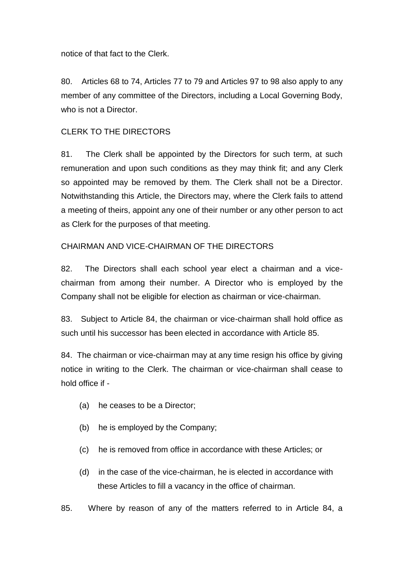notice of that fact to the Clerk.

80. Articles 68 to 74, Articles 77 to 79 and Articles 97 to 98 also apply to any member of any committee of the Directors, including a Local Governing Body, who is not a Director.

## CLERK TO THE DIRECTORS

81. The Clerk shall be appointed by the Directors for such term, at such remuneration and upon such conditions as they may think fit; and any Clerk so appointed may be removed by them. The Clerk shall not be a Director. Notwithstanding this Article, the Directors may, where the Clerk fails to attend a meeting of theirs, appoint any one of their number or any other person to act as Clerk for the purposes of that meeting.

### CHAIRMAN AND VICE-CHAIRMAN OF THE DIRECTORS

82. The Directors shall each school year elect a chairman and a vicechairman from among their number. A Director who is employed by the Company shall not be eligible for election as chairman or vice-chairman.

83. Subject to Article 84, the chairman or vice-chairman shall hold office as such until his successor has been elected in accordance with Article 85.

84. The chairman or vice-chairman may at any time resign his office by giving notice in writing to the Clerk. The chairman or vice-chairman shall cease to hold office if -

- (a) he ceases to be a Director;
- (b) he is employed by the Company;
- (c) he is removed from office in accordance with these Articles; or
- (d) in the case of the vice-chairman, he is elected in accordance with these Articles to fill a vacancy in the office of chairman.

85. Where by reason of any of the matters referred to in Article 84, a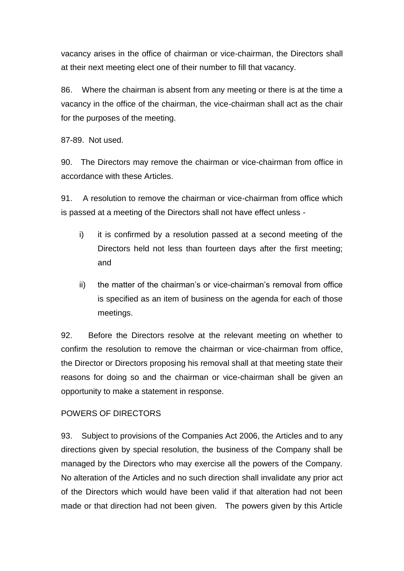vacancy arises in the office of chairman or vice-chairman, the Directors shall at their next meeting elect one of their number to fill that vacancy.

86. Where the chairman is absent from any meeting or there is at the time a vacancy in the office of the chairman, the vice-chairman shall act as the chair for the purposes of the meeting.

87-89. Not used.

90. The Directors may remove the chairman or vice-chairman from office in accordance with these Articles.

91. A resolution to remove the chairman or vice-chairman from office which is passed at a meeting of the Directors shall not have effect unless -

- i) it is confirmed by a resolution passed at a second meeting of the Directors held not less than fourteen days after the first meeting; and
- ii) the matter of the chairman's or vice-chairman's removal from office is specified as an item of business on the agenda for each of those meetings.

92. Before the Directors resolve at the relevant meeting on whether to confirm the resolution to remove the chairman or vice-chairman from office, the Director or Directors proposing his removal shall at that meeting state their reasons for doing so and the chairman or vice-chairman shall be given an opportunity to make a statement in response.

## POWERS OF DIRECTORS

93. Subject to provisions of the Companies Act 2006, the Articles and to any directions given by special resolution, the business of the Company shall be managed by the Directors who may exercise all the powers of the Company. No alteration of the Articles and no such direction shall invalidate any prior act of the Directors which would have been valid if that alteration had not been made or that direction had not been given. The powers given by this Article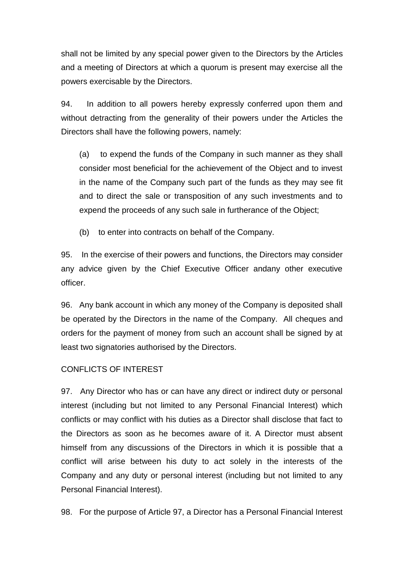shall not be limited by any special power given to the Directors by the Articles and a meeting of Directors at which a quorum is present may exercise all the powers exercisable by the Directors.

94. In addition to all powers hereby expressly conferred upon them and without detracting from the generality of their powers under the Articles the Directors shall have the following powers, namely:

(a) to expend the funds of the Company in such manner as they shall consider most beneficial for the achievement of the Object and to invest in the name of the Company such part of the funds as they may see fit and to direct the sale or transposition of any such investments and to expend the proceeds of any such sale in furtherance of the Object;

(b) to enter into contracts on behalf of the Company.

95. In the exercise of their powers and functions, the Directors may consider any advice given by the Chief Executive Officer andany other executive officer.

96. Any bank account in which any money of the Company is deposited shall be operated by the Directors in the name of the Company. All cheques and orders for the payment of money from such an account shall be signed by at least two signatories authorised by the Directors.

## CONFLICTS OF INTEREST

97. Any Director who has or can have any direct or indirect duty or personal interest (including but not limited to any Personal Financial Interest) which conflicts or may conflict with his duties as a Director shall disclose that fact to the Directors as soon as he becomes aware of it. A Director must absent himself from any discussions of the Directors in which it is possible that a conflict will arise between his duty to act solely in the interests of the Company and any duty or personal interest (including but not limited to any Personal Financial Interest).

98. For the purpose of Article 97, a Director has a Personal Financial Interest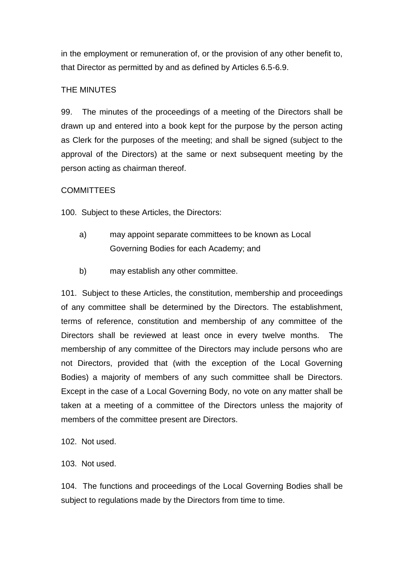in the employment or remuneration of, or the provision of any other benefit to, that Director as permitted by and as defined by Articles 6.5-6.9.

## THE MINUTES

99. The minutes of the proceedings of a meeting of the Directors shall be drawn up and entered into a book kept for the purpose by the person acting as Clerk for the purposes of the meeting; and shall be signed (subject to the approval of the Directors) at the same or next subsequent meeting by the person acting as chairman thereof.

## **COMMITTEES**

100. Subject to these Articles, the Directors:

- a) may appoint separate committees to be known as Local Governing Bodies for each Academy; and
- b) may establish any other committee.

101. Subject to these Articles, the constitution, membership and proceedings of any committee shall be determined by the Directors. The establishment, terms of reference, constitution and membership of any committee of the Directors shall be reviewed at least once in every twelve months. The membership of any committee of the Directors may include persons who are not Directors, provided that (with the exception of the Local Governing Bodies) a majority of members of any such committee shall be Directors. Except in the case of a Local Governing Body, no vote on any matter shall be taken at a meeting of a committee of the Directors unless the majority of members of the committee present are Directors.

- 102. Not used.
- 103. Not used.

104. The functions and proceedings of the Local Governing Bodies shall be subject to regulations made by the Directors from time to time.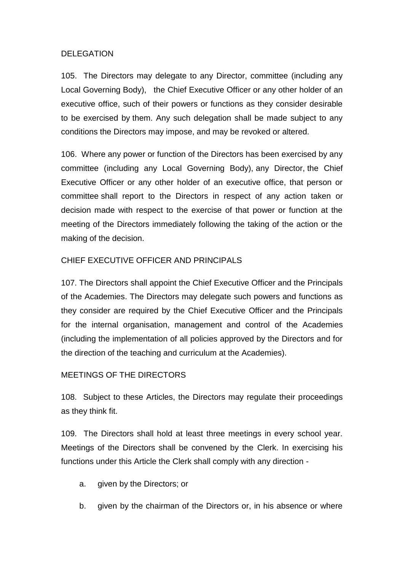### DELEGATION

105. The Directors may delegate to any Director, committee (including any Local Governing Body), the Chief Executive Officer or any other holder of an executive office, such of their powers or functions as they consider desirable to be exercised by them. Any such delegation shall be made subject to any conditions the Directors may impose, and may be revoked or altered.

106. Where any power or function of the Directors has been exercised by any committee (including any Local Governing Body), any Director, the Chief Executive Officer or any other holder of an executive office, that person or committee shall report to the Directors in respect of any action taken or decision made with respect to the exercise of that power or function at the meeting of the Directors immediately following the taking of the action or the making of the decision.

### CHIEF EXECUTIVE OFFICER AND PRINCIPALS

107. The Directors shall appoint the Chief Executive Officer and the Principals of the Academies. The Directors may delegate such powers and functions as they consider are required by the Chief Executive Officer and the Principals for the internal organisation, management and control of the Academies (including the implementation of all policies approved by the Directors and for the direction of the teaching and curriculum at the Academies).

### MEETINGS OF THE DIRECTORS

108. Subject to these Articles, the Directors may regulate their proceedings as they think fit.

109. The Directors shall hold at least three meetings in every school year. Meetings of the Directors shall be convened by the Clerk. In exercising his functions under this Article the Clerk shall comply with any direction -

- a. given by the Directors; or
- b. given by the chairman of the Directors or, in his absence or where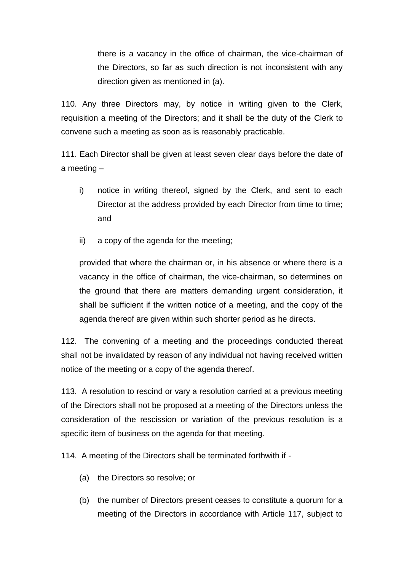there is a vacancy in the office of chairman, the vice-chairman of the Directors, so far as such direction is not inconsistent with any direction given as mentioned in (a).

110. Any three Directors may, by notice in writing given to the Clerk, requisition a meeting of the Directors; and it shall be the duty of the Clerk to convene such a meeting as soon as is reasonably practicable.

111. Each Director shall be given at least seven clear days before the date of a meeting –

- i) notice in writing thereof, signed by the Clerk, and sent to each Director at the address provided by each Director from time to time: and
- ii) a copy of the agenda for the meeting;

provided that where the chairman or, in his absence or where there is a vacancy in the office of chairman, the vice-chairman, so determines on the ground that there are matters demanding urgent consideration, it shall be sufficient if the written notice of a meeting, and the copy of the agenda thereof are given within such shorter period as he directs.

112. The convening of a meeting and the proceedings conducted thereat shall not be invalidated by reason of any individual not having received written notice of the meeting or a copy of the agenda thereof.

113. A resolution to rescind or vary a resolution carried at a previous meeting of the Directors shall not be proposed at a meeting of the Directors unless the consideration of the rescission or variation of the previous resolution is a specific item of business on the agenda for that meeting.

114. A meeting of the Directors shall be terminated forthwith if -

- (a) the Directors so resolve; or
- (b) the number of Directors present ceases to constitute a quorum for a meeting of the Directors in accordance with Article 117, subject to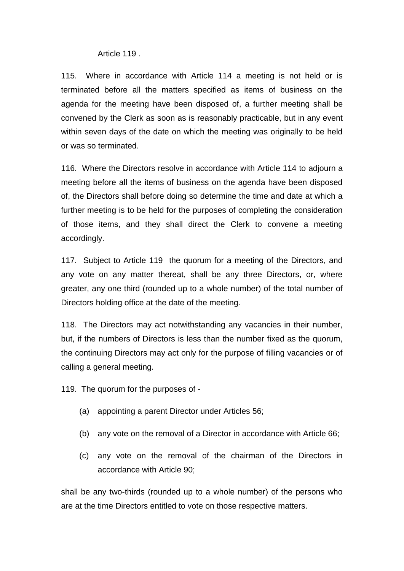Article 119 .

115. Where in accordance with Article 114 a meeting is not held or is terminated before all the matters specified as items of business on the agenda for the meeting have been disposed of, a further meeting shall be convened by the Clerk as soon as is reasonably practicable, but in any event within seven days of the date on which the meeting was originally to be held or was so terminated.

116. Where the Directors resolve in accordance with Article 114 to adjourn a meeting before all the items of business on the agenda have been disposed of, the Directors shall before doing so determine the time and date at which a further meeting is to be held for the purposes of completing the consideration of those items, and they shall direct the Clerk to convene a meeting accordingly.

117. Subject to Article 119 the quorum for a meeting of the Directors, and any vote on any matter thereat, shall be any three Directors, or, where greater, any one third (rounded up to a whole number) of the total number of Directors holding office at the date of the meeting.

118. The Directors may act notwithstanding any vacancies in their number, but, if the numbers of Directors is less than the number fixed as the quorum, the continuing Directors may act only for the purpose of filling vacancies or of calling a general meeting.

119. The quorum for the purposes of -

- (a) appointing a parent Director under Articles 56;
- (b) any vote on the removal of a Director in accordance with Article 66;
- (c) any vote on the removal of the chairman of the Directors in accordance with Article 90;

shall be any two-thirds (rounded up to a whole number) of the persons who are at the time Directors entitled to vote on those respective matters.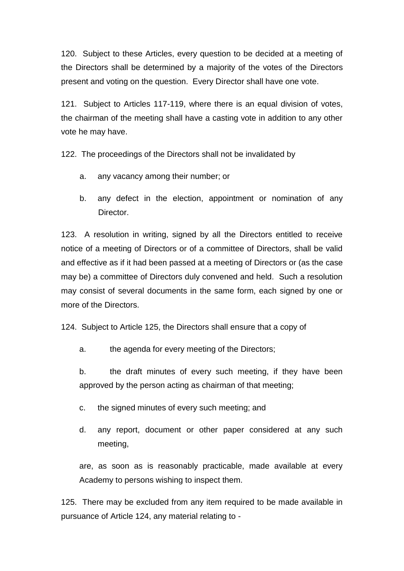120. Subject to these Articles, every question to be decided at a meeting of the Directors shall be determined by a majority of the votes of the Directors present and voting on the question. Every Director shall have one vote.

121. Subject to Articles 117-119, where there is an equal division of votes, the chairman of the meeting shall have a casting vote in addition to any other vote he may have.

122. The proceedings of the Directors shall not be invalidated by

- a. any vacancy among their number; or
- b. any defect in the election, appointment or nomination of any Director.

123. A resolution in writing, signed by all the Directors entitled to receive notice of a meeting of Directors or of a committee of Directors, shall be valid and effective as if it had been passed at a meeting of Directors or (as the case may be) a committee of Directors duly convened and held. Such a resolution may consist of several documents in the same form, each signed by one or more of the Directors.

124. Subject to Article 125, the Directors shall ensure that a copy of

a. the agenda for every meeting of the Directors;

b. the draft minutes of every such meeting, if they have been approved by the person acting as chairman of that meeting;

- c. the signed minutes of every such meeting; and
- d. any report, document or other paper considered at any such meeting,

are, as soon as is reasonably practicable, made available at every Academy to persons wishing to inspect them.

125. There may be excluded from any item required to be made available in pursuance of Article 124, any material relating to -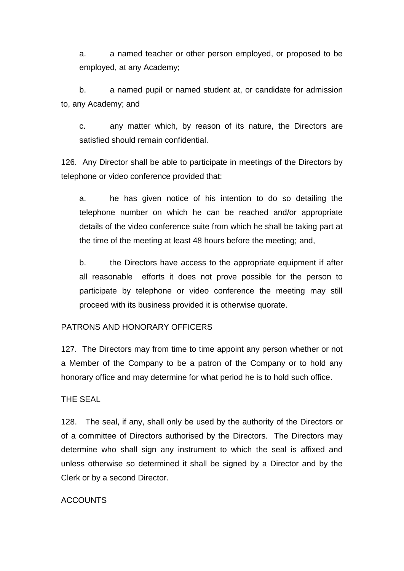a. a named teacher or other person employed, or proposed to be employed, at any Academy;

b. a named pupil or named student at, or candidate for admission to, any Academy; and

c. any matter which, by reason of its nature, the Directors are satisfied should remain confidential.

126. Any Director shall be able to participate in meetings of the Directors by telephone or video conference provided that:

a. he has given notice of his intention to do so detailing the telephone number on which he can be reached and/or appropriate details of the video conference suite from which he shall be taking part at the time of the meeting at least 48 hours before the meeting; and,

b. the Directors have access to the appropriate equipment if after all reasonable efforts it does not prove possible for the person to participate by telephone or video conference the meeting may still proceed with its business provided it is otherwise quorate.

### PATRONS AND HONORARY OFFICERS

127. The Directors may from time to time appoint any person whether or not a Member of the Company to be a patron of the Company or to hold any honorary office and may determine for what period he is to hold such office.

### THE SEAL

128. The seal, if any, shall only be used by the authority of the Directors or of a committee of Directors authorised by the Directors. The Directors may determine who shall sign any instrument to which the seal is affixed and unless otherwise so determined it shall be signed by a Director and by the Clerk or by a second Director.

### ACCOUNTS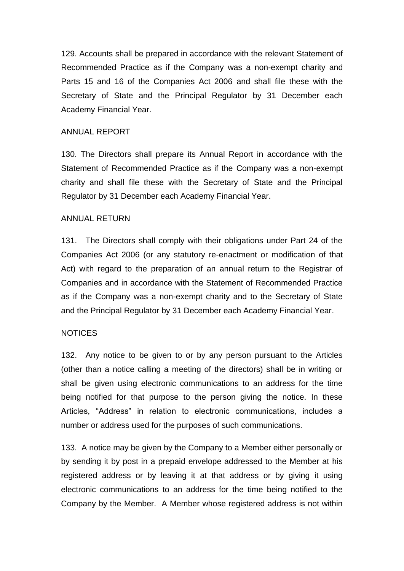129. Accounts shall be prepared in accordance with the relevant Statement of Recommended Practice as if the Company was a non-exempt charity and Parts 15 and 16 of the Companies Act 2006 and shall file these with the Secretary of State and the Principal Regulator by 31 December each Academy Financial Year.

#### ANNUAL REPORT

130. The Directors shall prepare its Annual Report in accordance with the Statement of Recommended Practice as if the Company was a non-exempt charity and shall file these with the Secretary of State and the Principal Regulator by 31 December each Academy Financial Year.

### ANNUAL RETURN

131. The Directors shall comply with their obligations under Part 24 of the Companies Act 2006 (or any statutory re-enactment or modification of that Act) with regard to the preparation of an annual return to the Registrar of Companies and in accordance with the Statement of Recommended Practice as if the Company was a non-exempt charity and to the Secretary of State and the Principal Regulator by 31 December each Academy Financial Year.

### NOTICES

132. Any notice to be given to or by any person pursuant to the Articles (other than a notice calling a meeting of the directors) shall be in writing or shall be given using electronic communications to an address for the time being notified for that purpose to the person giving the notice. In these Articles, "Address" in relation to electronic communications, includes a number or address used for the purposes of such communications.

133. A notice may be given by the Company to a Member either personally or by sending it by post in a prepaid envelope addressed to the Member at his registered address or by leaving it at that address or by giving it using electronic communications to an address for the time being notified to the Company by the Member. A Member whose registered address is not within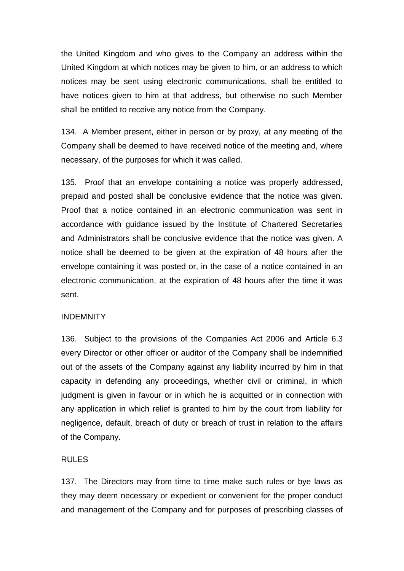the United Kingdom and who gives to the Company an address within the United Kingdom at which notices may be given to him, or an address to which notices may be sent using electronic communications, shall be entitled to have notices given to him at that address, but otherwise no such Member shall be entitled to receive any notice from the Company.

134. A Member present, either in person or by proxy, at any meeting of the Company shall be deemed to have received notice of the meeting and, where necessary, of the purposes for which it was called.

135. Proof that an envelope containing a notice was properly addressed, prepaid and posted shall be conclusive evidence that the notice was given. Proof that a notice contained in an electronic communication was sent in accordance with guidance issued by the Institute of Chartered Secretaries and Administrators shall be conclusive evidence that the notice was given. A notice shall be deemed to be given at the expiration of 48 hours after the envelope containing it was posted or, in the case of a notice contained in an electronic communication, at the expiration of 48 hours after the time it was sent.

### INDEMNITY

136. Subject to the provisions of the Companies Act 2006 and Article 6.3 every Director or other officer or auditor of the Company shall be indemnified out of the assets of the Company against any liability incurred by him in that capacity in defending any proceedings, whether civil or criminal, in which judgment is given in favour or in which he is acquitted or in connection with any application in which relief is granted to him by the court from liability for negligence, default, breach of duty or breach of trust in relation to the affairs of the Company.

### RULES

137. The Directors may from time to time make such rules or bye laws as they may deem necessary or expedient or convenient for the proper conduct and management of the Company and for purposes of prescribing classes of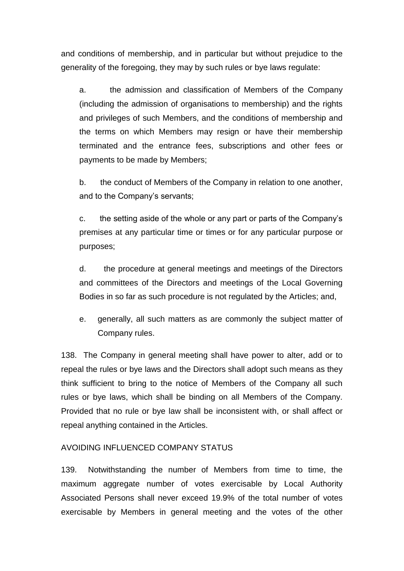and conditions of membership, and in particular but without prejudice to the generality of the foregoing, they may by such rules or bye laws regulate:

a. the admission and classification of Members of the Company (including the admission of organisations to membership) and the rights and privileges of such Members, and the conditions of membership and the terms on which Members may resign or have their membership terminated and the entrance fees, subscriptions and other fees or payments to be made by Members;

b. the conduct of Members of the Company in relation to one another, and to the Company's servants;

c. the setting aside of the whole or any part or parts of the Company's premises at any particular time or times or for any particular purpose or purposes;

d. the procedure at general meetings and meetings of the Directors and committees of the Directors and meetings of the Local Governing Bodies in so far as such procedure is not regulated by the Articles; and,

e. generally, all such matters as are commonly the subject matter of Company rules.

138. The Company in general meeting shall have power to alter, add or to repeal the rules or bye laws and the Directors shall adopt such means as they think sufficient to bring to the notice of Members of the Company all such rules or bye laws, which shall be binding on all Members of the Company. Provided that no rule or bye law shall be inconsistent with, or shall affect or repeal anything contained in the Articles.

### AVOIDING INFLUENCED COMPANY STATUS

139. Notwithstanding the number of Members from time to time, the maximum aggregate number of votes exercisable by Local Authority Associated Persons shall never exceed 19.9% of the total number of votes exercisable by Members in general meeting and the votes of the other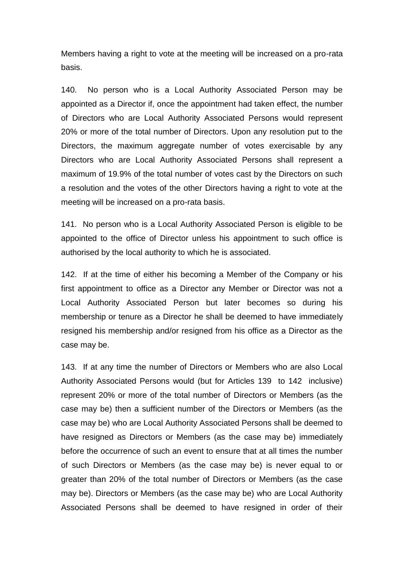Members having a right to vote at the meeting will be increased on a pro-rata basis.

140. No person who is a Local Authority Associated Person may be appointed as a Director if, once the appointment had taken effect, the number of Directors who are Local Authority Associated Persons would represent 20% or more of the total number of Directors. Upon any resolution put to the Directors, the maximum aggregate number of votes exercisable by any Directors who are Local Authority Associated Persons shall represent a maximum of 19.9% of the total number of votes cast by the Directors on such a resolution and the votes of the other Directors having a right to vote at the meeting will be increased on a pro-rata basis.

141. No person who is a Local Authority Associated Person is eligible to be appointed to the office of Director unless his appointment to such office is authorised by the local authority to which he is associated.

142. If at the time of either his becoming a Member of the Company or his first appointment to office as a Director any Member or Director was not a Local Authority Associated Person but later becomes so during his membership or tenure as a Director he shall be deemed to have immediately resigned his membership and/or resigned from his office as a Director as the case may be.

143. If at any time the number of Directors or Members who are also Local Authority Associated Persons would (but for Articles 139 to 142 inclusive) represent 20% or more of the total number of Directors or Members (as the case may be) then a sufficient number of the Directors or Members (as the case may be) who are Local Authority Associated Persons shall be deemed to have resigned as Directors or Members (as the case may be) immediately before the occurrence of such an event to ensure that at all times the number of such Directors or Members (as the case may be) is never equal to or greater than 20% of the total number of Directors or Members (as the case may be). Directors or Members (as the case may be) who are Local Authority Associated Persons shall be deemed to have resigned in order of their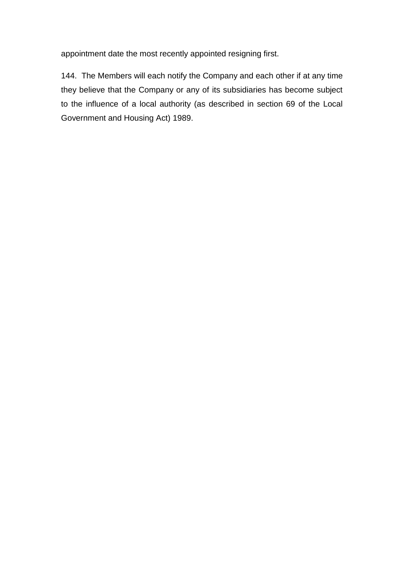appointment date the most recently appointed resigning first.

144. The Members will each notify the Company and each other if at any time they believe that the Company or any of its subsidiaries has become subject to the influence of a local authority (as described in section 69 of the Local Government and Housing Act) 1989.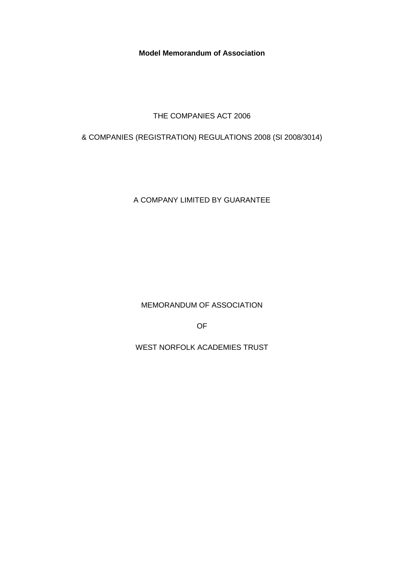**Model Memorandum of Association** 

THE COMPANIES ACT 2006

& COMPANIES (REGISTRATION) REGULATIONS 2008 (SI 2008/3014)

A COMPANY LIMITED BY GUARANTEE

MEMORANDUM OF ASSOCIATION

OF

WEST NORFOLK ACADEMIES TRUST